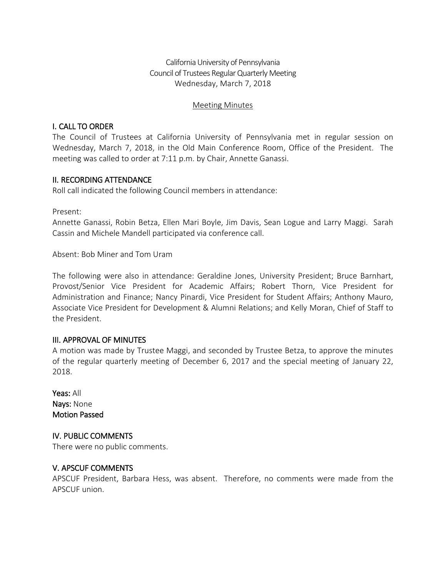California University of Pennsylvania Council of Trustees Regular Quarterly Meeting Wednesday, March 7, 2018

### Meeting Minutes

## I. CALL TO ORDER

The Council of Trustees at California University of Pennsylvania met in regular session on Wednesday, March 7, 2018, in the Old Main Conference Room, Office of the President. The meeting was called to order at 7:11 p.m. by Chair, Annette Ganassi.

## II. RECORDING ATTENDANCE

Roll call indicated the following Council members in attendance:

Present:

Annette Ganassi, Robin Betza, Ellen Mari Boyle, Jim Davis, Sean Logue and Larry Maggi. Sarah Cassin and Michele Mandell participated via conference call.

Absent: Bob Miner and Tom Uram

The following were also in attendance: Geraldine Jones, University President; Bruce Barnhart, Provost/Senior Vice President for Academic Affairs; Robert Thorn, Vice President for Administration and Finance; Nancy Pinardi, Vice President for Student Affairs; Anthony Mauro, Associate Vice President for Development & Alumni Relations; and Kelly Moran, Chief of Staff to the President.

### III. APPROVAL OF MINUTES

A motion was made by Trustee Maggi, and seconded by Trustee Betza, to approve the minutes of the regular quarterly meeting of December 6, 2017 and the special meeting of January 22, 2018.

Yeas: All Nays: None Motion Passed

# IV. PUBLIC COMMENTS

There were no public comments.

### V. APSCUF COMMENTS

APSCUF President, Barbara Hess, was absent. Therefore, no comments were made from the APSCUF union.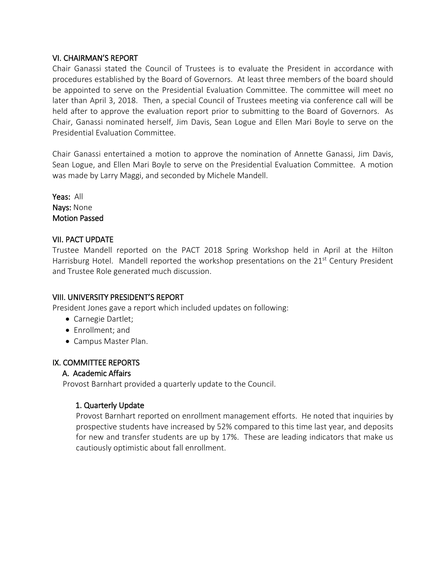### VI. CHAIRMAN'S REPORT

Chair Ganassi stated the Council of Trustees is to evaluate the President in accordance with procedures established by the Board of Governors. At least three members of the board should be appointed to serve on the Presidential Evaluation Committee. The committee will meet no later than April 3, 2018. Then, a special Council of Trustees meeting via conference call will be held after to approve the evaluation report prior to submitting to the Board of Governors. As Chair, Ganassi nominated herself, Jim Davis, Sean Logue and Ellen Mari Boyle to serve on the Presidential Evaluation Committee.

Chair Ganassi entertained a motion to approve the nomination of Annette Ganassi, Jim Davis, Sean Logue, and Ellen Mari Boyle to serve on the Presidential Evaluation Committee. A motion was made by Larry Maggi, and seconded by Michele Mandell.

Yeas: All Nays: None Motion Passed

# VII. PACT UPDATE

Trustee Mandell reported on the PACT 2018 Spring Workshop held in April at the Hilton Harrisburg Hotel. Mandell reported the workshop presentations on the 21<sup>st</sup> Century President and Trustee Role generated much discussion.

### VIII. UNIVERSITY PRESIDENT'S REPORT

President Jones gave a report which included updates on following:

- Carnegie Dartlet;
- Enrollment; and
- Campus Master Plan.

# IX. COMMITTEE REPORTS

### A. Academic Affairs

Provost Barnhart provided a quarterly update to the Council.

# 1. Quarterly Update

Provost Barnhart reported on enrollment management efforts. He noted that inquiries by prospective students have increased by 52% compared to this time last year, and deposits for new and transfer students are up by 17%. These are leading indicators that make us cautiously optimistic about fall enrollment.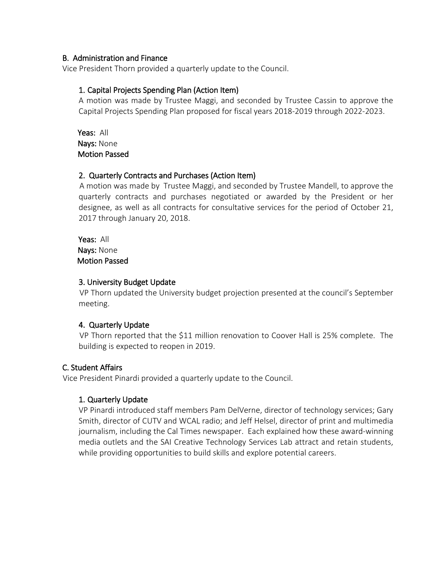## B. Administration and Finance

Vice President Thorn provided a quarterly update to the Council.

## 1. Capital Projects Spending Plan (Action Item)

A motion was made by Trustee Maggi, and seconded by Trustee Cassin to approve the Capital Projects Spending Plan proposed for fiscal years 2018-2019 through 2022-2023.

 Yeas: All Nays: None Motion Passed

## 2. Quarterly Contracts and Purchases (Action Item)

 A motion was made by Trustee Maggi, and seconded by Trustee Mandell, to approve the quarterly contracts and purchases negotiated or awarded by the President or her designee, as well as all contracts for consultative services for the period of October 21, 2017 through January 20, 2018.

 Yeas: All Nays: None Motion Passed

## 3. University Budget Update

VP Thorn updated the University budget projection presented at the council's September meeting.

### 4. Quarterly Update

 VP Thorn reported that the \$11 million renovation to Coover Hall is 25% complete. The building is expected to reopen in 2019.

# C. Student Affairs

Vice President Pinardi provided a quarterly update to the Council.

# 1. Quarterly Update

VP Pinardi introduced staff members Pam DelVerne, director of technology services; Gary Smith, director of CUTV and WCAL radio; and Jeff Helsel, director of print and multimedia journalism, including the Cal Times newspaper. Each explained how these award-winning media outlets and the SAI Creative Technology Services Lab attract and retain students, while providing opportunities to build skills and explore potential careers.